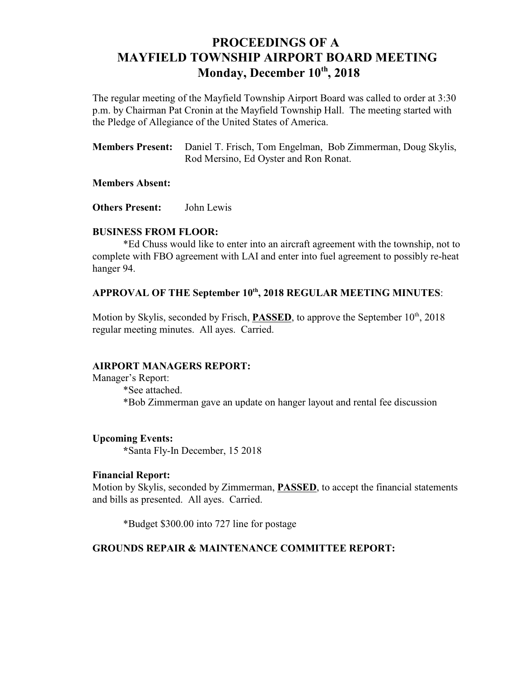# **PROCEEDINGS OF A MAYFIELD TOWNSHIP AIRPORT BOARD MEETING** Monday, December  $10<sup>th</sup>$ , 2018

The regular meeting of the Mayfield Township Airport Board was called to order at 3:30 p.m. by Chairman Pat Cronin at the Mayfield Township Hall. The meeting started with the Pledge of Allegiance of the United States of America.

**Members Present:** Daniel T. Frisch, Tom Engelman, Bob Zimmerman, Doug Skylis, Rod Mersino, Ed Oyster and Ron Ronat.

## **Members Absent:**

**Others Present:** John Lewis

#### **BUSINESS FROM FLOOR:**

\*Ed Chuss would like to enter into an aircraft agreement with the township, not to complete with FBO agreement with LAI and enter into fuel agreement to possibly re-heat hanger 94.

# APPROVAL OF THE September 10<sup>th</sup>, 2018 REGULAR MEETING MINUTES:

Motion by Skylis, seconded by Frisch, **PASSED**, to approve the September 10<sup>th</sup>, 2018 regular meeting minutes. All ayes. Carried.

#### **AIRPORT MANAGERS REPORT:**

Manager's Report: \*See attached. \*Bob Zimmerman gave an update on hanger layout and rental fee discussion

#### **Upcoming Events:**

**\***Santa Fly-In December, 15 2018

#### **Financial Report:**

Motion by Skylis, seconded by Zimmerman, **PASSED**, to accept the financial statements and bills as presented. All ayes. Carried.

\*Budget \$300.00 into 727 line for postage

# **GROUNDS REPAIR & MAINTENANCE COMMITTEE REPORT:**